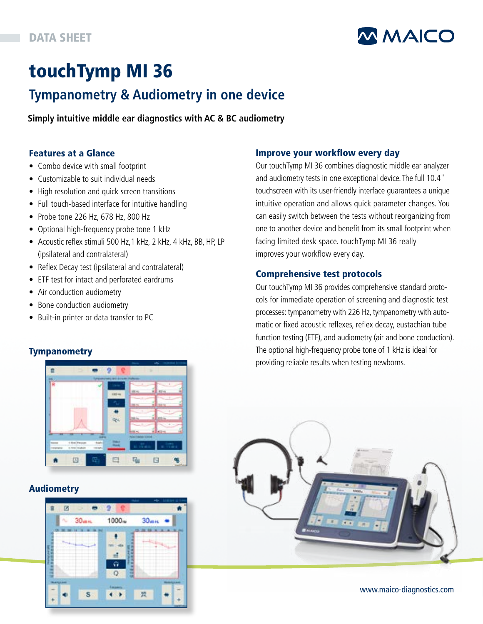

# touchTymp MI 36

## **Tympanometry & Audiometry in one device**

**Simply intuitive middle ear diagnostics with AC & BC audiometry**

### Features at a Glance

- Combo device with small footprint
- Customizable to suit individual needs
- High resolution and quick screen transitions
- Full touch-based interface for intuitive handling
- Probe tone 226 Hz, 678 Hz, 800 Hz
- Optional high-frequency probe tone 1 kHz
- Acoustic reflex stimuli 500 Hz,1 kHz, 2 kHz, 4 kHz, BB, HP, LP (ipsilateral and contralateral)
- Reflex Decay test (ipsilateral and contralateral)
- ETF test for intact and perforated eardrums
- Air conduction audiometry
- Bone conduction audiometry
- Built-in printer or data transfer to PC

## **Tympanometry**



## Audiometry



### Improve your workflow every day

Our touchTymp MI 36 combines diagnostic middle ear analyzer and audiometry tests in one exceptional device. The full 10.4" touchscreen with its user-friendly interface guarantees a unique intuitive operation and allows quick parameter changes. You can easily switch between the tests without reorganizing from one to another device and benefit from its small footprint when facing limited desk space. touchTymp MI 36 really improves your workflow every day.

### Comprehensive test protocols

Our touchTymp MI 36 provides comprehensive standard protocols for immediate operation of screening and diagnostic test processes: tympanometry with 226 Hz, tympanometry with automatic or fixed acoustic reflexes, reflex decay, eustachian tube function testing (ETF), and audiometry (air and bone conduction). The optional high-frequency probe tone of 1 kHz is ideal for providing reliable results when testing newborns.



www.maico-diagnostics.com